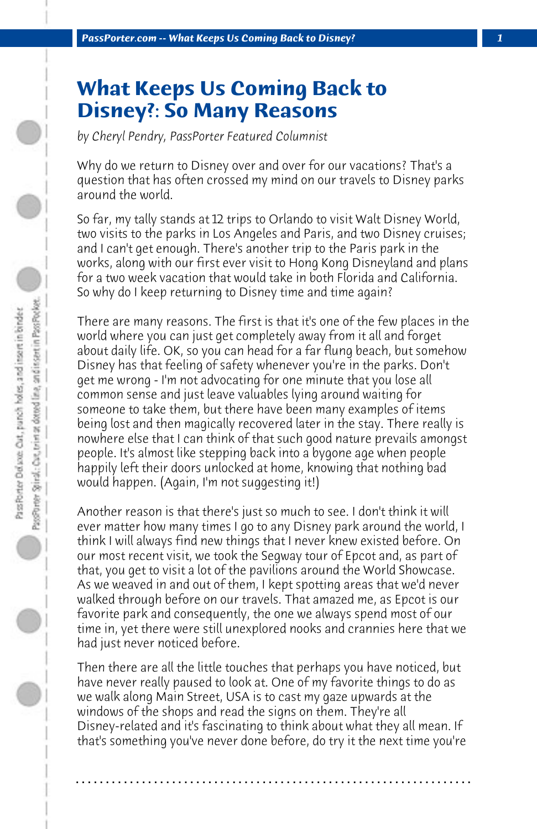## **What Keeps Us Coming Back to Disney?: So Many Reasons**

*by Cheryl Pendry, PassPorter Featured Columnist*

Why do we return to Disney over and over for our vacations? That's a question that has often crossed my mind on our travels to Disney parks around the world.

So far, my tally stands at 12 trips to Orlando to visit Walt Disney World, two visits to the parks in Los Angeles and Paris, and two Disney cruises; and I can't get enough. There's another trip to the Paris park in the works, along with our first ever visit to Hong Kong Disneyland and plans for a two week vacation that would take in both Florida and California. So why do I keep returning to Disney time and time again?

There are many reasons. The first is that it's one of the few places in the world where you can just get completely away from it all and forget about daily life. OK, so you can head for a far flung beach, but somehow Disney has that feeling of safety whenever you're in the parks. Don't get me wrong - I'm not advocating for one minute that you lose all common sense and just leave valuables lying around waiting for someone to take them, but there have been many examples of items being lost and then magically recovered later in the stay. There really is nowhere else that I can think of that such good nature prevails amongst people. It's almost like stepping back into a bygone age when people happily left their doors unlocked at home, knowing that nothing bad would happen. (Again, I'm not suggesting it!)

Another reason is that there's just so much to see. I don't think it will ever matter how many times I go to any Disney park around the world, I think I will always find new things that I never knew existed before. On our most recent visit, we took the Segway tour of Epcot and, as part of that, you get to visit a lot of the pavilions around the World Showcase. As we weaved in and out of them, I kept spotting areas that we'd never walked through before on our travels. That amazed me, as Epcot is our favorite park and consequently, the one we always spend most of our time in, yet there were still unexplored nooks and crannies here that we had just never noticed before.

Then there are all the little touches that perhaps you have noticed, but have never really paused to look at. One of my favorite things to do as we walk along Main Street, USA is to cast my gaze upwards at the windows of the shops and read the signs on them. They're all Disney-related and it's fascinating to think about what they all mean. If that's something you've never done before, do try it the next time you're

**. . . . . . . . . . . . . . . . . . . . . . . . . . . . . . . . . . . . . . . . . . . . . . . . . . . . . . . . . . . . . . . . . .**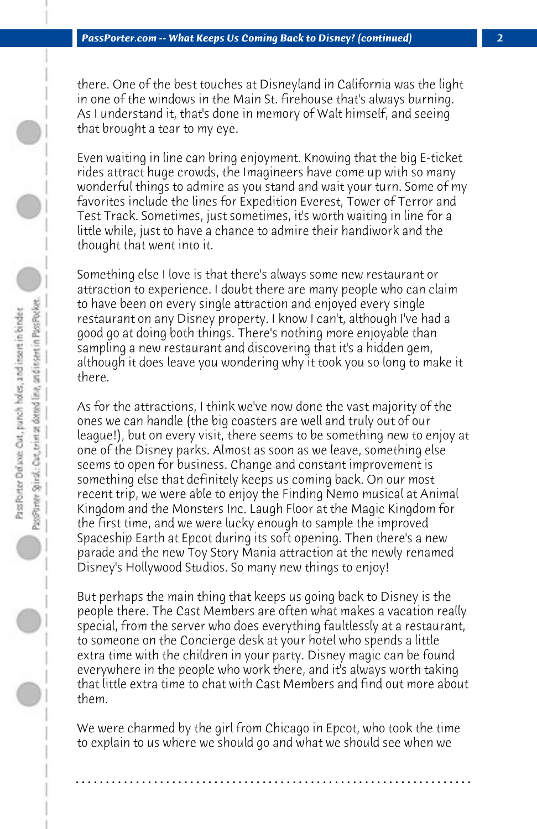there. One of the best touches at Disneyland in California was the light in one of the windows in the Main St. firehouse that's always burning. As I understand it, that's done in memory of Walt himself, and seeing that brought a tear to my eye.

Even waiting in line can bring enjoyment. Knowing that the big E-ticket rides attract huge crowds, the Imagineers have come up with so many wonderful things to admire as you stand and wait your turn. Some of my favorites include the lines for Expedition Everest, Tower of Terror and Test Track. Sometimes, just sometimes, it's worth waiting in line for a little while, just to have a chance to admire their handiwork and the thought that went into it.

Something else I love is that there's always some new restaurant or attraction to experience. I doubt there are many people who can claim to have been on every single attraction and enjoyed every single restaurant on any Disney property. I know I can't, although I've had a good go at doing both things. There's nothing more enjoyable than sampling a new restaurant and discovering that it's a hidden gem, although it does leave you wondering why it took you so long to make it there.

As for the attractions, I think we've now done the vast majority of the ones we can handle (the big coasters are well and truly out of our league!), but on every visit, there seems to be something new to enjoy at one of the Disney parks. Almost as soon as we leave, something else seems to open for business. Change and constant improvement is something else that definitely keeps us coming back. On our most recent trip, we were able to enjoy the Finding Nemo musical at Animal Kingdom and the Monsters Inc. Laugh Floor at the Magic Kingdom for the first time, and we were lucky enough to sample the improved Spaceship Earth at Epcot during its soft opening. Then there's a new parade and the new Toy Story Mania attraction at the newly renamed Disney's Hollywood Studios. So many new things to enjoy!

But perhaps the main thing that keeps us going back to Disney is the people there. The Cast Members are often what makes a vacation really special, from the server who does everything faultlessly at a restaurant, to someone on the Concierge desk at your hotel who spends a little extra time with the children in your party. Disney magic can be found everywhere in the people who work there, and it's always worth taking that little extra time to chat with Cast Members and find out more about them.

We were charmed by the girl from Chicago in Epcot, who took the time to explain to us where we should go and what we should see when we

**. . . . . . . . . . . . . . . . . . . . . . . . . . . . . . . . . . . . . . . . . . . . . . . . . . . . . . . . . . . . . . . . . .**